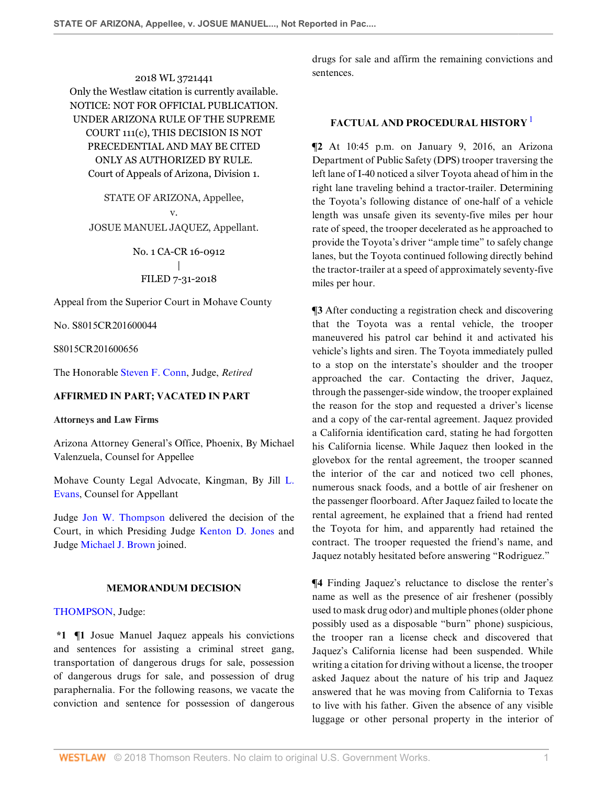2018 WL 3721441 Only the Westlaw citation is currently available. NOTICE: NOT FOR OFFICIAL PUBLICATION. UNDER ARIZONA RULE OF THE SUPREME COURT 111(c), THIS DECISION IS NOT PRECEDENTIAL AND MAY BE CITED ONLY AS AUTHORIZED BY RULE. Court of Appeals of Arizona, Division 1.

STATE OF ARIZONA, Appellee, v. JOSUE MANUEL JAQUEZ, Appellant.

> No. 1 CA-CR 16-0912 | FILED 7-31-2018

Appeal from the Superior Court in Mohave County

No. S8015CR201600044

S8015CR201600656

The Honorable [Steven F. Conn](http://www.westlaw.com/Link/Document/FullText?findType=h&pubNum=176284&cite=0137130501&originatingDoc=Idde5c08099cc11e888e382e865ea2ff8&refType=RQ&originationContext=document&vr=3.0&rs=cblt1.0&transitionType=DocumentItem&contextData=(sc.Search)), Judge, *Retired*

# **AFFIRMED IN PART; VACATED IN PART**

#### **Attorneys and Law Firms**

Arizona Attorney General's Office, Phoenix, By Michael Valenzuela, Counsel for Appellee

Mohave County Legal Advocate, Kingman, By Jill [L.](http://www.westlaw.com/Link/Document/FullText?findType=h&pubNum=176284&cite=0215789801&originatingDoc=Idde5c08099cc11e888e382e865ea2ff8&refType=RQ&originationContext=document&vr=3.0&rs=cblt1.0&transitionType=DocumentItem&contextData=(sc.Search)) [Evans](http://www.westlaw.com/Link/Document/FullText?findType=h&pubNum=176284&cite=0215789801&originatingDoc=Idde5c08099cc11e888e382e865ea2ff8&refType=RQ&originationContext=document&vr=3.0&rs=cblt1.0&transitionType=DocumentItem&contextData=(sc.Search)), Counsel for Appellant

Judge [Jon W. Thompson](http://www.westlaw.com/Link/Document/FullText?findType=h&pubNum=176284&cite=0180929601&originatingDoc=Idde5c08099cc11e888e382e865ea2ff8&refType=RQ&originationContext=document&vr=3.0&rs=cblt1.0&transitionType=DocumentItem&contextData=(sc.Search)) delivered the decision of the Court, in which Presiding Judge [Kenton D. Jones](http://www.westlaw.com/Link/Document/FullText?findType=h&pubNum=176284&cite=0430848901&originatingDoc=Idde5c08099cc11e888e382e865ea2ff8&refType=RQ&originationContext=document&vr=3.0&rs=cblt1.0&transitionType=DocumentItem&contextData=(sc.Search)) and Judge [Michael J. Brown](http://www.westlaw.com/Link/Document/FullText?findType=h&pubNum=176284&cite=0224928301&originatingDoc=Idde5c08099cc11e888e382e865ea2ff8&refType=RQ&originationContext=document&vr=3.0&rs=cblt1.0&transitionType=DocumentItem&contextData=(sc.Search)) joined.

### **MEMORANDUM DECISION**

[THOMPSON](http://www.westlaw.com/Link/Document/FullText?findType=h&pubNum=176284&cite=0180929601&originatingDoc=Idde5c08099cc11e888e382e865ea2ff8&refType=RQ&originationContext=document&vr=3.0&rs=cblt1.0&transitionType=DocumentItem&contextData=(sc.Search)), Judge:

**\*1 ¶1** Josue Manuel Jaquez appeals his convictions and sentences for assisting a criminal street gang, transportation of dangerous drugs for sale, possession of dangerous drugs for sale, and possession of drug paraphernalia. For the following reasons, we vacate the conviction and sentence for possession of dangerous

drugs for sale and affirm the remaining convictions and sentences.

# <span id="page-0-0"></span>**FACTUAL AND PROCEDURAL HISTORY** [1](#page-10-0)

**¶2** At 10:45 p.m. on January 9, 2016, an Arizona Department of Public Safety (DPS) trooper traversing the left lane of I-40 noticed a silver Toyota ahead of him in the right lane traveling behind a tractor-trailer. Determining the Toyota's following distance of one-half of a vehicle length was unsafe given its seventy-five miles per hour rate of speed, the trooper decelerated as he approached to provide the Toyota's driver "ample time" to safely change lanes, but the Toyota continued following directly behind the tractor-trailer at a speed of approximately seventy-five miles per hour.

**¶3** After conducting a registration check and discovering that the Toyota was a rental vehicle, the trooper maneuvered his patrol car behind it and activated his vehicle's lights and siren. The Toyota immediately pulled to a stop on the interstate's shoulder and the trooper approached the car. Contacting the driver, Jaquez, through the passenger-side window, the trooper explained the reason for the stop and requested a driver's license and a copy of the car-rental agreement. Jaquez provided a California identification card, stating he had forgotten his California license. While Jaquez then looked in the glovebox for the rental agreement, the trooper scanned the interior of the car and noticed two cell phones, numerous snack foods, and a bottle of air freshener on the passenger floorboard. After Jaquez failed to locate the rental agreement, he explained that a friend had rented the Toyota for him, and apparently had retained the contract. The trooper requested the friend's name, and Jaquez notably hesitated before answering "Rodriguez."

**¶4** Finding Jaquez's reluctance to disclose the renter's name as well as the presence of air freshener (possibly used to mask drug odor) and multiple phones (older phone possibly used as a disposable "burn" phone) suspicious, the trooper ran a license check and discovered that Jaquez's California license had been suspended. While writing a citation for driving without a license, the trooper asked Jaquez about the nature of his trip and Jaquez answered that he was moving from California to Texas to live with his father. Given the absence of any visible luggage or other personal property in the interior of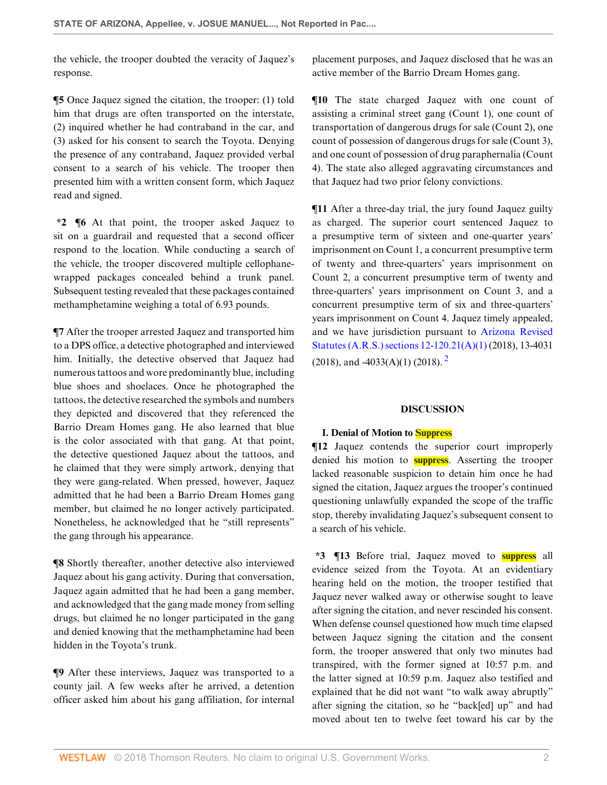the vehicle, the trooper doubted the veracity of Jaquez's response.

**¶5** Once Jaquez signed the citation, the trooper: (1) told him that drugs are often transported on the interstate, (2) inquired whether he had contraband in the car, and (3) asked for his consent to search the Toyota. Denying the presence of any contraband, Jaquez provided verbal consent to a search of his vehicle. The trooper then presented him with a written consent form, which Jaquez read and signed.

**\*2 ¶6** At that point, the trooper asked Jaquez to sit on a guardrail and requested that a second officer respond to the location. While conducting a search of the vehicle, the trooper discovered multiple cellophanewrapped packages concealed behind a trunk panel. Subsequent testing revealed that these packages contained methamphetamine weighing a total of 6.93 pounds.

**¶7** After the trooper arrested Jaquez and transported him to a DPS office, a detective photographed and interviewed him. Initially, the detective observed that Jaquez had numerous tattoos and wore predominantly blue, including blue shoes and shoelaces. Once he photographed the tattoos, the detective researched the symbols and numbers they depicted and discovered that they referenced the Barrio Dream Homes gang. He also learned that blue is the color associated with that gang. At that point, the detective questioned Jaquez about the tattoos, and he claimed that they were simply artwork, denying that they were gang-related. When pressed, however, Jaquez admitted that he had been a Barrio Dream Homes gang member, but claimed he no longer actively participated. Nonetheless, he acknowledged that he "still represents" the gang through his appearance.

**¶8** Shortly thereafter, another detective also interviewed Jaquez about his gang activity. During that conversation, Jaquez again admitted that he had been a gang member, and acknowledged that the gang made money from selling drugs, but claimed he no longer participated in the gang and denied knowing that the methamphetamine had been hidden in the Toyota's trunk.

**¶9** After these interviews, Jaquez was transported to a county jail. A few weeks after he arrived, a detention officer asked him about his gang affiliation, for internal placement purposes, and Jaquez disclosed that he was an active member of the Barrio Dream Homes gang.

**¶10** The state charged Jaquez with one count of assisting a criminal street gang (Count 1), one count of transportation of dangerous drugs for sale (Count 2), one count of possession of dangerous drugs for sale (Count 3), and one count of possession of drug paraphernalia (Count 4). The state also alleged aggravating circumstances and that Jaquez had two prior felony convictions.

**¶11** After a three-day trial, the jury found Jaquez guilty as charged. The superior court sentenced Jaquez to a presumptive term of sixteen and one-quarter years' imprisonment on Count 1, a concurrent presumptive term of twenty and three-quarters' years imprisonment on Count 2, a concurrent presumptive term of twenty and three-quarters' years imprisonment on Count 3, and a concurrent presumptive term of six and three-quarters' years imprisonment on Count 4. Jaquez timely appealed, and we have jurisdiction pursuant to [Arizona Revised](http://www.westlaw.com/Link/Document/FullText?findType=L&pubNum=1000251&cite=AZSTS12-120.21&originatingDoc=Idde5c08099cc11e888e382e865ea2ff8&refType=LQ&originationContext=document&vr=3.0&rs=cblt1.0&transitionType=DocumentItem&contextData=(sc.Search)) [Statutes \(A.R.S.\) sections 12-120.21\(A\)\(1\)](http://www.westlaw.com/Link/Document/FullText?findType=L&pubNum=1000251&cite=AZSTS12-120.21&originatingDoc=Idde5c08099cc11e888e382e865ea2ff8&refType=LQ&originationContext=document&vr=3.0&rs=cblt1.0&transitionType=DocumentItem&contextData=(sc.Search)) (2018), 13-4031  $(2018)$  $(2018)$  $(2018)$ , and  $-4033(A)(1)$   $(2018)$ ,  $^{2}$ 

## <span id="page-1-0"></span>**DISCUSSION**

## **I. Denial of Motion to Suppress**

**¶12** Jaquez contends the superior court improperly denied his motion to **suppress**. Asserting the trooper lacked reasonable suspicion to detain him once he had signed the citation, Jaquez argues the trooper's continued questioning unlawfully expanded the scope of the traffic stop, thereby invalidating Jaquez's subsequent consent to a search of his vehicle.

**\*3 ¶13** Before trial, Jaquez moved to **suppress** all evidence seized from the Toyota. At an evidentiary hearing held on the motion, the trooper testified that Jaquez never walked away or otherwise sought to leave after signing the citation, and never rescinded his consent. When defense counsel questioned how much time elapsed between Jaquez signing the citation and the consent form, the trooper answered that only two minutes had transpired, with the former signed at 10:57 p.m. and the latter signed at 10:59 p.m. Jaquez also testified and explained that he did not want "to walk away abruptly" after signing the citation, so he "back[ed] up" and had moved about ten to twelve feet toward his car by the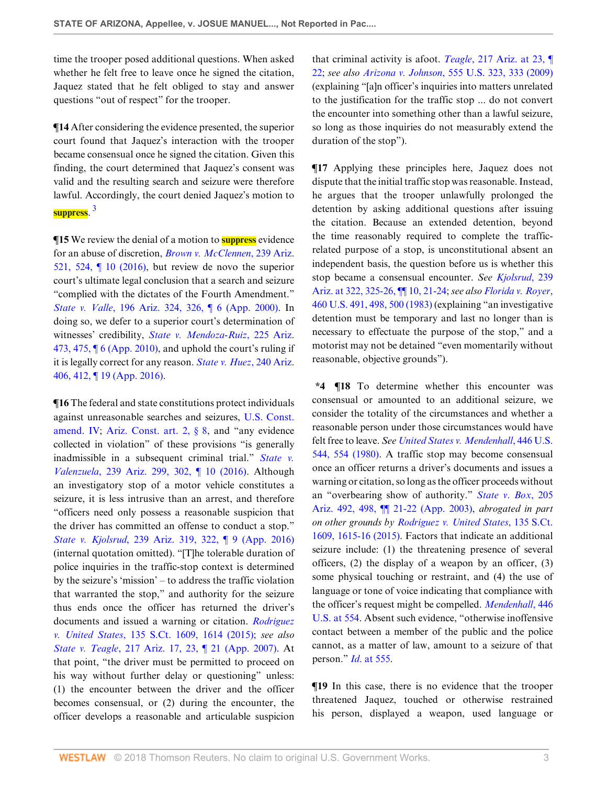time the trooper posed additional questions. When asked whether he felt free to leave once he signed the citation, Jaquez stated that he felt obliged to stay and answer questions "out of respect" for the trooper.

**¶14** After considering the evidence presented, the superior court found that Jaquez's interaction with the trooper became consensual once he signed the citation. Given this finding, the court determined that Jaquez's consent was valid and the resulting search and seizure were therefore lawful. Accordingly, the court denied Jaquez's motion to **suppress**. [3](#page-10-2)

<span id="page-2-0"></span>**¶15** We review the denial of a motion to **suppress** evidence for an abuse of discretion, *[Brown v. McClennen](http://www.westlaw.com/Link/Document/FullText?findType=Y&serNum=2038729601&pubNum=0000156&originatingDoc=Idde5c08099cc11e888e382e865ea2ff8&refType=RP&fi=co_pp_sp_156_524&originationContext=document&vr=3.0&rs=cblt1.0&transitionType=DocumentItem&contextData=(sc.Search)#co_pp_sp_156_524)*, 239 Ariz. [521, 524, ¶ 10 \(2016\)](http://www.westlaw.com/Link/Document/FullText?findType=Y&serNum=2038729601&pubNum=0000156&originatingDoc=Idde5c08099cc11e888e382e865ea2ff8&refType=RP&fi=co_pp_sp_156_524&originationContext=document&vr=3.0&rs=cblt1.0&transitionType=DocumentItem&contextData=(sc.Search)#co_pp_sp_156_524), but review de novo the superior court's ultimate legal conclusion that a search and seizure "complied with the dictates of the Fourth Amendment." *State v. Valle*[, 196 Ariz. 324, 326, ¶ 6 \(App. 2000\).](http://www.westlaw.com/Link/Document/FullText?findType=Y&serNum=2000063409&pubNum=0000156&originatingDoc=Idde5c08099cc11e888e382e865ea2ff8&refType=RP&fi=co_pp_sp_156_326&originationContext=document&vr=3.0&rs=cblt1.0&transitionType=DocumentItem&contextData=(sc.Search)#co_pp_sp_156_326) In doing so, we defer to a superior court's determination of witnesses' credibility, *[State v. Mendoza-Ruiz](http://www.westlaw.com/Link/Document/FullText?findType=Y&serNum=2022637253&pubNum=0000156&originatingDoc=Idde5c08099cc11e888e382e865ea2ff8&refType=RP&fi=co_pp_sp_156_475&originationContext=document&vr=3.0&rs=cblt1.0&transitionType=DocumentItem&contextData=(sc.Search)#co_pp_sp_156_475)*, 225 Ariz. 473, 475,  $\P$  6 (App. 2010), and uphold the court's ruling if it is legally correct for any reason. *[State v. Huez](http://www.westlaw.com/Link/Document/FullText?findType=Y&serNum=2039586008&pubNum=0000156&originatingDoc=Idde5c08099cc11e888e382e865ea2ff8&refType=RP&fi=co_pp_sp_156_412&originationContext=document&vr=3.0&rs=cblt1.0&transitionType=DocumentItem&contextData=(sc.Search)#co_pp_sp_156_412)*, 240 Ariz. [406, 412, ¶ 19 \(App. 2016\).](http://www.westlaw.com/Link/Document/FullText?findType=Y&serNum=2039586008&pubNum=0000156&originatingDoc=Idde5c08099cc11e888e382e865ea2ff8&refType=RP&fi=co_pp_sp_156_412&originationContext=document&vr=3.0&rs=cblt1.0&transitionType=DocumentItem&contextData=(sc.Search)#co_pp_sp_156_412)

**¶16** The federal and state constitutions protect individuals against unreasonable searches and seizures, [U.S. Const.](http://www.westlaw.com/Link/Document/FullText?findType=L&pubNum=1000583&cite=USCOAMENDIV&originatingDoc=Idde5c08099cc11e888e382e865ea2ff8&refType=LQ&originationContext=document&vr=3.0&rs=cblt1.0&transitionType=DocumentItem&contextData=(sc.Search)) [amend. IV;](http://www.westlaw.com/Link/Document/FullText?findType=L&pubNum=1000583&cite=USCOAMENDIV&originatingDoc=Idde5c08099cc11e888e382e865ea2ff8&refType=LQ&originationContext=document&vr=3.0&rs=cblt1.0&transitionType=DocumentItem&contextData=(sc.Search)) [Ariz. Const. art. 2, § 8](http://www.westlaw.com/Link/Document/FullText?findType=L&pubNum=1000447&cite=AZCNART2S8&originatingDoc=Idde5c08099cc11e888e382e865ea2ff8&refType=LQ&originationContext=document&vr=3.0&rs=cblt1.0&transitionType=DocumentItem&contextData=(sc.Search)), and "any evidence collected in violation" of these provisions "is generally inadmissible in a subsequent criminal trial." *[State v.](http://www.westlaw.com/Link/Document/FullText?findType=Y&serNum=2038729596&pubNum=0000156&originatingDoc=Idde5c08099cc11e888e382e865ea2ff8&refType=RP&fi=co_pp_sp_156_302&originationContext=document&vr=3.0&rs=cblt1.0&transitionType=DocumentItem&contextData=(sc.Search)#co_pp_sp_156_302) Valenzuela*[, 239 Ariz. 299, 302, ¶ 10 \(2016\).](http://www.westlaw.com/Link/Document/FullText?findType=Y&serNum=2038729596&pubNum=0000156&originatingDoc=Idde5c08099cc11e888e382e865ea2ff8&refType=RP&fi=co_pp_sp_156_302&originationContext=document&vr=3.0&rs=cblt1.0&transitionType=DocumentItem&contextData=(sc.Search)#co_pp_sp_156_302) Although an investigatory stop of a motor vehicle constitutes a seizure, it is less intrusive than an arrest, and therefore "officers need only possess a reasonable suspicion that the driver has committed an offense to conduct a stop." *State v. Kjolsrud*[, 239 Ariz. 319, 322, ¶ 9 \(App. 2016\)](http://www.westlaw.com/Link/Document/FullText?findType=Y&serNum=2038502587&pubNum=0000156&originatingDoc=Idde5c08099cc11e888e382e865ea2ff8&refType=RP&fi=co_pp_sp_156_322&originationContext=document&vr=3.0&rs=cblt1.0&transitionType=DocumentItem&contextData=(sc.Search)#co_pp_sp_156_322) (internal quotation omitted). "[T]he tolerable duration of police inquiries in the traffic-stop context is determined by the seizure's 'mission' – to address the traffic violation that warranted the stop," and authority for the seizure thus ends once the officer has returned the driver's documents and issued a warning or citation. *[Rodriguez](http://www.westlaw.com/Link/Document/FullText?findType=Y&serNum=2035821440&pubNum=0000708&originatingDoc=Idde5c08099cc11e888e382e865ea2ff8&refType=RP&fi=co_pp_sp_708_1614&originationContext=document&vr=3.0&rs=cblt1.0&transitionType=DocumentItem&contextData=(sc.Search)#co_pp_sp_708_1614) v. United States*[, 135 S.Ct. 1609, 1614 \(2015\);](http://www.westlaw.com/Link/Document/FullText?findType=Y&serNum=2035821440&pubNum=0000708&originatingDoc=Idde5c08099cc11e888e382e865ea2ff8&refType=RP&fi=co_pp_sp_708_1614&originationContext=document&vr=3.0&rs=cblt1.0&transitionType=DocumentItem&contextData=(sc.Search)#co_pp_sp_708_1614) *see also State v. Teagle*[, 217 Ariz. 17, 23, ¶ 21 \(App. 2007\)](http://www.westlaw.com/Link/Document/FullText?findType=Y&serNum=2013885202&pubNum=0000156&originatingDoc=Idde5c08099cc11e888e382e865ea2ff8&refType=RP&fi=co_pp_sp_156_23&originationContext=document&vr=3.0&rs=cblt1.0&transitionType=DocumentItem&contextData=(sc.Search)#co_pp_sp_156_23). At that point, "the driver must be permitted to proceed on his way without further delay or questioning" unless: (1) the encounter between the driver and the officer becomes consensual, or (2) during the encounter, the officer develops a reasonable and articulable suspicion that criminal activity is afoot. *Teagle*[, 217 Ariz. at 23, ¶](http://www.westlaw.com/Link/Document/FullText?findType=Y&serNum=2013885202&pubNum=0000156&originatingDoc=Idde5c08099cc11e888e382e865ea2ff8&refType=RP&fi=co_pp_sp_156_23&originationContext=document&vr=3.0&rs=cblt1.0&transitionType=DocumentItem&contextData=(sc.Search)#co_pp_sp_156_23) [22](http://www.westlaw.com/Link/Document/FullText?findType=Y&serNum=2013885202&pubNum=0000156&originatingDoc=Idde5c08099cc11e888e382e865ea2ff8&refType=RP&fi=co_pp_sp_156_23&originationContext=document&vr=3.0&rs=cblt1.0&transitionType=DocumentItem&contextData=(sc.Search)#co_pp_sp_156_23); *see also Arizona v. Johnson*[, 555 U.S. 323, 333 \(2009\)](http://www.westlaw.com/Link/Document/FullText?findType=Y&serNum=2017943955&pubNum=0000780&originatingDoc=Idde5c08099cc11e888e382e865ea2ff8&refType=RP&fi=co_pp_sp_780_333&originationContext=document&vr=3.0&rs=cblt1.0&transitionType=DocumentItem&contextData=(sc.Search)#co_pp_sp_780_333) (explaining "[a]n officer's inquiries into matters unrelated to the justification for the traffic stop ... do not convert the encounter into something other than a lawful seizure, so long as those inquiries do not measurably extend the duration of the stop").

**¶17** Applying these principles here, Jaquez does not dispute that the initial traffic stop was reasonable. Instead, he argues that the trooper unlawfully prolonged the detention by asking additional questions after issuing the citation. Because an extended detention, beyond the time reasonably required to complete the trafficrelated purpose of a stop, is unconstitutional absent an independent basis, the question before us is whether this stop became a consensual encounter. *See [Kjolsrud](http://www.westlaw.com/Link/Document/FullText?findType=Y&serNum=2038502587&pubNum=0000156&originatingDoc=Idde5c08099cc11e888e382e865ea2ff8&refType=RP&fi=co_pp_sp_156_322&originationContext=document&vr=3.0&rs=cblt1.0&transitionType=DocumentItem&contextData=(sc.Search)#co_pp_sp_156_322)*, 239 [Ariz. at 322, 325-26, ¶¶ 10, 21-24;](http://www.westlaw.com/Link/Document/FullText?findType=Y&serNum=2038502587&pubNum=0000156&originatingDoc=Idde5c08099cc11e888e382e865ea2ff8&refType=RP&fi=co_pp_sp_156_322&originationContext=document&vr=3.0&rs=cblt1.0&transitionType=DocumentItem&contextData=(sc.Search)#co_pp_sp_156_322) *see also [Florida v. Royer](http://www.westlaw.com/Link/Document/FullText?findType=Y&serNum=1983113926&pubNum=0000780&originatingDoc=Idde5c08099cc11e888e382e865ea2ff8&refType=RP&fi=co_pp_sp_780_498&originationContext=document&vr=3.0&rs=cblt1.0&transitionType=DocumentItem&contextData=(sc.Search)#co_pp_sp_780_498)*, [460 U.S. 491, 498, 500 \(1983\)](http://www.westlaw.com/Link/Document/FullText?findType=Y&serNum=1983113926&pubNum=0000780&originatingDoc=Idde5c08099cc11e888e382e865ea2ff8&refType=RP&fi=co_pp_sp_780_498&originationContext=document&vr=3.0&rs=cblt1.0&transitionType=DocumentItem&contextData=(sc.Search)#co_pp_sp_780_498) (explaining "an investigative detention must be temporary and last no longer than is necessary to effectuate the purpose of the stop," and a motorist may not be detained "even momentarily without reasonable, objective grounds").

**\*4 ¶18** To determine whether this encounter was consensual or amounted to an additional seizure, we consider the totality of the circumstances and whether a reasonable person under those circumstances would have felt free to leave. *See [United States v. Mendenhall](http://www.westlaw.com/Link/Document/FullText?findType=Y&serNum=1980116749&pubNum=0000780&originatingDoc=Idde5c08099cc11e888e382e865ea2ff8&refType=RP&fi=co_pp_sp_780_554&originationContext=document&vr=3.0&rs=cblt1.0&transitionType=DocumentItem&contextData=(sc.Search)#co_pp_sp_780_554)*, 446 U.S. [544, 554 \(1980\)](http://www.westlaw.com/Link/Document/FullText?findType=Y&serNum=1980116749&pubNum=0000780&originatingDoc=Idde5c08099cc11e888e382e865ea2ff8&refType=RP&fi=co_pp_sp_780_554&originationContext=document&vr=3.0&rs=cblt1.0&transitionType=DocumentItem&contextData=(sc.Search)#co_pp_sp_780_554). A traffic stop may become consensual once an officer returns a driver's documents and issues a warning or citation, so long as the officer proceeds without an "overbearing show of authority." *[State v](http://www.westlaw.com/Link/Document/FullText?findType=Y&serNum=2003536699&pubNum=0000156&originatingDoc=Idde5c08099cc11e888e382e865ea2ff8&refType=RP&fi=co_pp_sp_156_498&originationContext=document&vr=3.0&rs=cblt1.0&transitionType=DocumentItem&contextData=(sc.Search)#co_pp_sp_156_498)*. *Box*, 205 [Ariz. 492, 498, ¶¶ 21-22 \(App. 2003\),](http://www.westlaw.com/Link/Document/FullText?findType=Y&serNum=2003536699&pubNum=0000156&originatingDoc=Idde5c08099cc11e888e382e865ea2ff8&refType=RP&fi=co_pp_sp_156_498&originationContext=document&vr=3.0&rs=cblt1.0&transitionType=DocumentItem&contextData=(sc.Search)#co_pp_sp_156_498) *abrogated in part on other grounds by [Rodriguez v. United States](http://www.westlaw.com/Link/Document/FullText?findType=Y&serNum=2035821440&pubNum=0000708&originatingDoc=Idde5c08099cc11e888e382e865ea2ff8&refType=RP&fi=co_pp_sp_708_1615&originationContext=document&vr=3.0&rs=cblt1.0&transitionType=DocumentItem&contextData=(sc.Search)#co_pp_sp_708_1615)*, 135 S.Ct. [1609, 1615-16 \(2015\)](http://www.westlaw.com/Link/Document/FullText?findType=Y&serNum=2035821440&pubNum=0000708&originatingDoc=Idde5c08099cc11e888e382e865ea2ff8&refType=RP&fi=co_pp_sp_708_1615&originationContext=document&vr=3.0&rs=cblt1.0&transitionType=DocumentItem&contextData=(sc.Search)#co_pp_sp_708_1615). Factors that indicate an additional seizure include: (1) the threatening presence of several officers, (2) the display of a weapon by an officer, (3) some physical touching or restraint, and (4) the use of language or tone of voice indicating that compliance with the officer's request might be compelled. *[Mendenhall](http://www.westlaw.com/Link/Document/FullText?findType=Y&serNum=1980116749&pubNum=0000780&originatingDoc=Idde5c08099cc11e888e382e865ea2ff8&refType=RP&fi=co_pp_sp_780_554&originationContext=document&vr=3.0&rs=cblt1.0&transitionType=DocumentItem&contextData=(sc.Search)#co_pp_sp_780_554)*, 446 [U.S. at 554](http://www.westlaw.com/Link/Document/FullText?findType=Y&serNum=1980116749&pubNum=0000780&originatingDoc=Idde5c08099cc11e888e382e865ea2ff8&refType=RP&fi=co_pp_sp_780_554&originationContext=document&vr=3.0&rs=cblt1.0&transitionType=DocumentItem&contextData=(sc.Search)#co_pp_sp_780_554). Absent such evidence, "otherwise inoffensive contact between a member of the public and the police cannot, as a matter of law, amount to a seizure of that person." *Id*[. at 555.](http://www.westlaw.com/Link/Document/FullText?findType=Y&serNum=1980116749&pubNum=0000780&originatingDoc=Idde5c08099cc11e888e382e865ea2ff8&refType=RP&fi=co_pp_sp_780_555&originationContext=document&vr=3.0&rs=cblt1.0&transitionType=DocumentItem&contextData=(sc.Search)#co_pp_sp_780_555)

**¶19** In this case, there is no evidence that the trooper threatened Jaquez, touched or otherwise restrained his person, displayed a weapon, used language or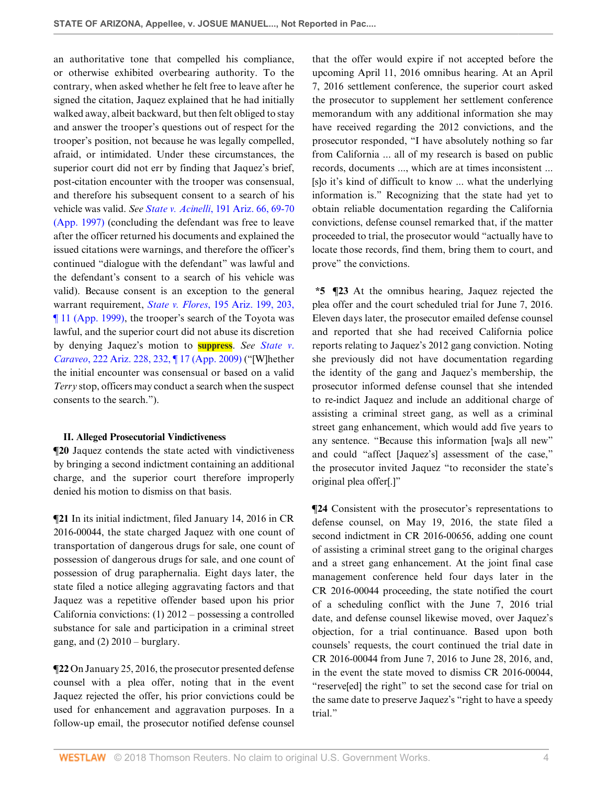an authoritative tone that compelled his compliance, or otherwise exhibited overbearing authority. To the contrary, when asked whether he felt free to leave after he signed the citation, Jaquez explained that he had initially walked away, albeit backward, but then felt obliged to stay and answer the trooper's questions out of respect for the trooper's position, not because he was legally compelled, afraid, or intimidated. Under these circumstances, the superior court did not err by finding that Jaquez's brief, post-citation encounter with the trooper was consensual, and therefore his subsequent consent to a search of his vehicle was valid. *See State v. Acinelli*[, 191 Ariz. 66, 69-70](http://www.westlaw.com/Link/Document/FullText?findType=Y&serNum=1997156127&pubNum=0000156&originatingDoc=Idde5c08099cc11e888e382e865ea2ff8&refType=RP&fi=co_pp_sp_156_69&originationContext=document&vr=3.0&rs=cblt1.0&transitionType=DocumentItem&contextData=(sc.Search)#co_pp_sp_156_69) [\(App. 1997\)](http://www.westlaw.com/Link/Document/FullText?findType=Y&serNum=1997156127&pubNum=0000156&originatingDoc=Idde5c08099cc11e888e382e865ea2ff8&refType=RP&fi=co_pp_sp_156_69&originationContext=document&vr=3.0&rs=cblt1.0&transitionType=DocumentItem&contextData=(sc.Search)#co_pp_sp_156_69) (concluding the defendant was free to leave after the officer returned his documents and explained the issued citations were warnings, and therefore the officer's continued "dialogue with the defendant" was lawful and the defendant's consent to a search of his vehicle was valid). Because consent is an exception to the general warrant requirement, *State v. Flores*[, 195 Ariz. 199, 203,](http://www.westlaw.com/Link/Document/FullText?findType=Y&serNum=1999075366&pubNum=0000156&originatingDoc=Idde5c08099cc11e888e382e865ea2ff8&refType=RP&fi=co_pp_sp_156_203&originationContext=document&vr=3.0&rs=cblt1.0&transitionType=DocumentItem&contextData=(sc.Search)#co_pp_sp_156_203) [¶ 11 \(App. 1999\),](http://www.westlaw.com/Link/Document/FullText?findType=Y&serNum=1999075366&pubNum=0000156&originatingDoc=Idde5c08099cc11e888e382e865ea2ff8&refType=RP&fi=co_pp_sp_156_203&originationContext=document&vr=3.0&rs=cblt1.0&transitionType=DocumentItem&contextData=(sc.Search)#co_pp_sp_156_203) the trooper's search of the Toyota was lawful, and the superior court did not abuse its discretion by denying Jaquez's motion to **suppress**. *See [State v](http://www.westlaw.com/Link/Document/FullText?findType=Y&serNum=2019610857&pubNum=0000156&originatingDoc=Idde5c08099cc11e888e382e865ea2ff8&refType=RP&fi=co_pp_sp_156_232&originationContext=document&vr=3.0&rs=cblt1.0&transitionType=DocumentItem&contextData=(sc.Search)#co_pp_sp_156_232)*. *Caraveo*[, 222 Ariz. 228, 232, ¶ 17 \(App. 2009\)](http://www.westlaw.com/Link/Document/FullText?findType=Y&serNum=2019610857&pubNum=0000156&originatingDoc=Idde5c08099cc11e888e382e865ea2ff8&refType=RP&fi=co_pp_sp_156_232&originationContext=document&vr=3.0&rs=cblt1.0&transitionType=DocumentItem&contextData=(sc.Search)#co_pp_sp_156_232) ("[W]hether the initial encounter was consensual or based on a valid *Terry* stop, officers may conduct a search when the suspect consents to the search.").

#### **II. Alleged Prosecutorial Vindictiveness**

**¶20** Jaquez contends the state acted with vindictiveness by bringing a second indictment containing an additional charge, and the superior court therefore improperly denied his motion to dismiss on that basis.

**¶21** In its initial indictment, filed January 14, 2016 in CR 2016-00044, the state charged Jaquez with one count of transportation of dangerous drugs for sale, one count of possession of dangerous drugs for sale, and one count of possession of drug paraphernalia. Eight days later, the state filed a notice alleging aggravating factors and that Jaquez was a repetitive offender based upon his prior California convictions: (1) 2012 – possessing a controlled substance for sale and participation in a criminal street gang, and  $(2)$  2010 – burglary.

**¶22** On January 25, 2016, the prosecutor presented defense counsel with a plea offer, noting that in the event Jaquez rejected the offer, his prior convictions could be used for enhancement and aggravation purposes. In a follow-up email, the prosecutor notified defense counsel that the offer would expire if not accepted before the upcoming April 11, 2016 omnibus hearing. At an April 7, 2016 settlement conference, the superior court asked the prosecutor to supplement her settlement conference memorandum with any additional information she may have received regarding the 2012 convictions, and the prosecutor responded, "I have absolutely nothing so far from California ... all of my research is based on public records, documents ..., which are at times inconsistent ... [s]o it's kind of difficult to know ... what the underlying information is." Recognizing that the state had yet to obtain reliable documentation regarding the California convictions, defense counsel remarked that, if the matter proceeded to trial, the prosecutor would "actually have to locate those records, find them, bring them to court, and prove" the convictions.

**\*5 ¶23** At the omnibus hearing, Jaquez rejected the plea offer and the court scheduled trial for June 7, 2016. Eleven days later, the prosecutor emailed defense counsel and reported that she had received California police reports relating to Jaquez's 2012 gang conviction. Noting she previously did not have documentation regarding the identity of the gang and Jaquez's membership, the prosecutor informed defense counsel that she intended to re-indict Jaquez and include an additional charge of assisting a criminal street gang, as well as a criminal street gang enhancement, which would add five years to any sentence. "Because this information [wa]s all new" and could "affect [Jaquez's] assessment of the case," the prosecutor invited Jaquez "to reconsider the state's original plea offer[.]"

**¶24** Consistent with the prosecutor's representations to defense counsel, on May 19, 2016, the state filed a second indictment in CR 2016-00656, adding one count of assisting a criminal street gang to the original charges and a street gang enhancement. At the joint final case management conference held four days later in the CR 2016-00044 proceeding, the state notified the court of a scheduling conflict with the June 7, 2016 trial date, and defense counsel likewise moved, over Jaquez's objection, for a trial continuance. Based upon both counsels' requests, the court continued the trial date in CR 2016-00044 from June 7, 2016 to June 28, 2016, and, in the event the state moved to dismiss CR 2016-00044, "reserve[ed] the right" to set the second case for trial on the same date to preserve Jaquez's "right to have a speedy trial."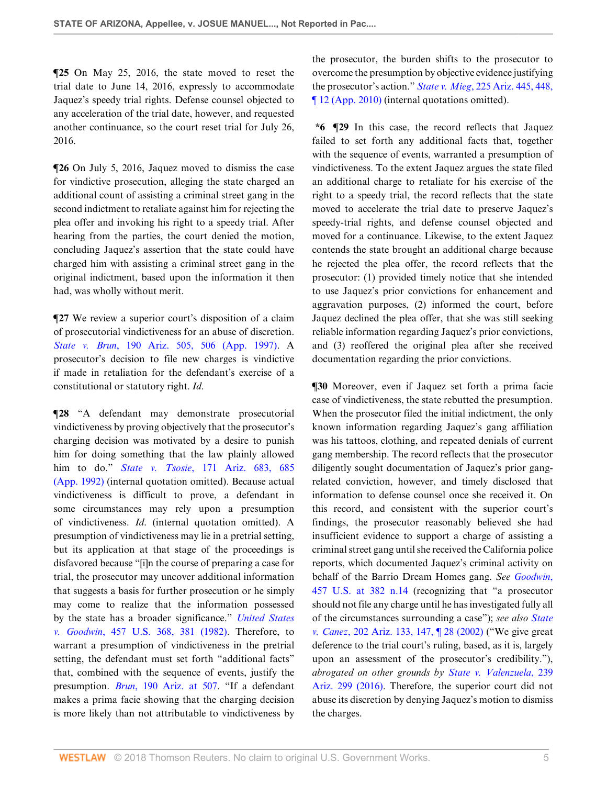**¶25** On May 25, 2016, the state moved to reset the trial date to June 14, 2016, expressly to accommodate Jaquez's speedy trial rights. Defense counsel objected to any acceleration of the trial date, however, and requested another continuance, so the court reset trial for July 26, 2016.

**¶26** On July 5, 2016, Jaquez moved to dismiss the case for vindictive prosecution, alleging the state charged an additional count of assisting a criminal street gang in the second indictment to retaliate against him for rejecting the plea offer and invoking his right to a speedy trial. After hearing from the parties, the court denied the motion, concluding Jaquez's assertion that the state could have charged him with assisting a criminal street gang in the original indictment, based upon the information it then had, was wholly without merit.

 $\P$ **27** We review a superior court's disposition of a claim of prosecutorial vindictiveness for an abuse of discretion. *State v. Brun*[, 190 Ariz. 505, 506 \(App. 1997\).](http://www.westlaw.com/Link/Document/FullText?findType=Y&serNum=1997241360&pubNum=0000156&originatingDoc=Idde5c08099cc11e888e382e865ea2ff8&refType=RP&fi=co_pp_sp_156_506&originationContext=document&vr=3.0&rs=cblt1.0&transitionType=DocumentItem&contextData=(sc.Search)#co_pp_sp_156_506) A prosecutor's decision to file new charges is vindictive if made in retaliation for the defendant's exercise of a constitutional or statutory right. *Id*.

**¶28** "A defendant may demonstrate prosecutorial vindictiveness by proving objectively that the prosecutor's charging decision was motivated by a desire to punish him for doing something that the law plainly allowed him to do." *State v. Tsosie*[, 171 Ariz. 683, 685](http://www.westlaw.com/Link/Document/FullText?findType=Y&serNum=1992100057&pubNum=0000156&originatingDoc=Idde5c08099cc11e888e382e865ea2ff8&refType=RP&fi=co_pp_sp_156_685&originationContext=document&vr=3.0&rs=cblt1.0&transitionType=DocumentItem&contextData=(sc.Search)#co_pp_sp_156_685) [\(App. 1992\)](http://www.westlaw.com/Link/Document/FullText?findType=Y&serNum=1992100057&pubNum=0000156&originatingDoc=Idde5c08099cc11e888e382e865ea2ff8&refType=RP&fi=co_pp_sp_156_685&originationContext=document&vr=3.0&rs=cblt1.0&transitionType=DocumentItem&contextData=(sc.Search)#co_pp_sp_156_685) (internal quotation omitted). Because actual vindictiveness is difficult to prove, a defendant in some circumstances may rely upon a presumption of vindictiveness. *Id*. (internal quotation omitted). A presumption of vindictiveness may lie in a pretrial setting, but its application at that stage of the proceedings is disfavored because "[i]n the course of preparing a case for trial, the prosecutor may uncover additional information that suggests a basis for further prosecution or he simply may come to realize that the information possessed by the state has a broader significance." *[United States](http://www.westlaw.com/Link/Document/FullText?findType=Y&serNum=1982127303&pubNum=0000780&originatingDoc=Idde5c08099cc11e888e382e865ea2ff8&refType=RP&fi=co_pp_sp_780_381&originationContext=document&vr=3.0&rs=cblt1.0&transitionType=DocumentItem&contextData=(sc.Search)#co_pp_sp_780_381) v. Goodwin*[, 457 U.S. 368, 381 \(1982\)](http://www.westlaw.com/Link/Document/FullText?findType=Y&serNum=1982127303&pubNum=0000780&originatingDoc=Idde5c08099cc11e888e382e865ea2ff8&refType=RP&fi=co_pp_sp_780_381&originationContext=document&vr=3.0&rs=cblt1.0&transitionType=DocumentItem&contextData=(sc.Search)#co_pp_sp_780_381). Therefore, to warrant a presumption of vindictiveness in the pretrial setting, the defendant must set forth "additional facts" that, combined with the sequence of events, justify the presumption. *Brun*[, 190 Ariz. at 507](http://www.westlaw.com/Link/Document/FullText?findType=Y&serNum=1997241360&pubNum=0000156&originatingDoc=Idde5c08099cc11e888e382e865ea2ff8&refType=RP&fi=co_pp_sp_156_507&originationContext=document&vr=3.0&rs=cblt1.0&transitionType=DocumentItem&contextData=(sc.Search)#co_pp_sp_156_507). "If a defendant makes a prima facie showing that the charging decision is more likely than not attributable to vindictiveness by the prosecutor, the burden shifts to the prosecutor to overcome the presumption by objective evidence justifying the prosecutor's action." *State v. Mieg*[, 225 Ariz. 445, 448,](http://www.westlaw.com/Link/Document/FullText?findType=Y&serNum=2023250548&pubNum=0000156&originatingDoc=Idde5c08099cc11e888e382e865ea2ff8&refType=RP&fi=co_pp_sp_156_448&originationContext=document&vr=3.0&rs=cblt1.0&transitionType=DocumentItem&contextData=(sc.Search)#co_pp_sp_156_448) [¶ 12 \(App. 2010\)](http://www.westlaw.com/Link/Document/FullText?findType=Y&serNum=2023250548&pubNum=0000156&originatingDoc=Idde5c08099cc11e888e382e865ea2ff8&refType=RP&fi=co_pp_sp_156_448&originationContext=document&vr=3.0&rs=cblt1.0&transitionType=DocumentItem&contextData=(sc.Search)#co_pp_sp_156_448) (internal quotations omitted).

**\*6 ¶29** In this case, the record reflects that Jaquez failed to set forth any additional facts that, together with the sequence of events, warranted a presumption of vindictiveness. To the extent Jaquez argues the state filed an additional charge to retaliate for his exercise of the right to a speedy trial, the record reflects that the state moved to accelerate the trial date to preserve Jaquez's speedy-trial rights, and defense counsel objected and moved for a continuance. Likewise, to the extent Jaquez contends the state brought an additional charge because he rejected the plea offer, the record reflects that the prosecutor: (1) provided timely notice that she intended to use Jaquez's prior convictions for enhancement and aggravation purposes, (2) informed the court, before Jaquez declined the plea offer, that she was still seeking reliable information regarding Jaquez's prior convictions, and (3) reoffered the original plea after she received documentation regarding the prior convictions.

**¶30** Moreover, even if Jaquez set forth a prima facie case of vindictiveness, the state rebutted the presumption. When the prosecutor filed the initial indictment, the only known information regarding Jaquez's gang affiliation was his tattoos, clothing, and repeated denials of current gang membership. The record reflects that the prosecutor diligently sought documentation of Jaquez's prior gangrelated conviction, however, and timely disclosed that information to defense counsel once she received it. On this record, and consistent with the superior court's findings, the prosecutor reasonably believed she had insufficient evidence to support a charge of assisting a criminal street gang until she received the California police reports, which documented Jaquez's criminal activity on behalf of the Barrio Dream Homes gang. *See [Goodwin](http://www.westlaw.com/Link/Document/FullText?findType=Y&serNum=1982127303&pubNum=0000780&originatingDoc=Idde5c08099cc11e888e382e865ea2ff8&refType=RP&fi=co_pp_sp_780_382&originationContext=document&vr=3.0&rs=cblt1.0&transitionType=DocumentItem&contextData=(sc.Search)#co_pp_sp_780_382)*, [457 U.S. at 382 n.14](http://www.westlaw.com/Link/Document/FullText?findType=Y&serNum=1982127303&pubNum=0000780&originatingDoc=Idde5c08099cc11e888e382e865ea2ff8&refType=RP&fi=co_pp_sp_780_382&originationContext=document&vr=3.0&rs=cblt1.0&transitionType=DocumentItem&contextData=(sc.Search)#co_pp_sp_780_382) (recognizing that "a prosecutor should not file any charge until he has investigated fully all of the circumstances surrounding a case"); *see also [State](http://www.westlaw.com/Link/Document/FullText?findType=Y&serNum=2002128694&pubNum=0000156&originatingDoc=Idde5c08099cc11e888e382e865ea2ff8&refType=RP&fi=co_pp_sp_156_147&originationContext=document&vr=3.0&rs=cblt1.0&transitionType=DocumentItem&contextData=(sc.Search)#co_pp_sp_156_147) v. Canez*[, 202 Ariz. 133, 147, ¶ 28 \(2002\)](http://www.westlaw.com/Link/Document/FullText?findType=Y&serNum=2002128694&pubNum=0000156&originatingDoc=Idde5c08099cc11e888e382e865ea2ff8&refType=RP&fi=co_pp_sp_156_147&originationContext=document&vr=3.0&rs=cblt1.0&transitionType=DocumentItem&contextData=(sc.Search)#co_pp_sp_156_147) ("We give great deference to the trial court's ruling, based, as it is, largely upon an assessment of the prosecutor's credibility."), *abrogated on other grounds by [State v. Valenzuela](http://www.westlaw.com/Link/Document/FullText?findType=Y&serNum=2038729596&pubNum=0000156&originatingDoc=Idde5c08099cc11e888e382e865ea2ff8&refType=RP&originationContext=document&vr=3.0&rs=cblt1.0&transitionType=DocumentItem&contextData=(sc.Search))*, 239 [Ariz. 299 \(2016\)](http://www.westlaw.com/Link/Document/FullText?findType=Y&serNum=2038729596&pubNum=0000156&originatingDoc=Idde5c08099cc11e888e382e865ea2ff8&refType=RP&originationContext=document&vr=3.0&rs=cblt1.0&transitionType=DocumentItem&contextData=(sc.Search)). Therefore, the superior court did not abuse its discretion by denying Jaquez's motion to dismiss the charges.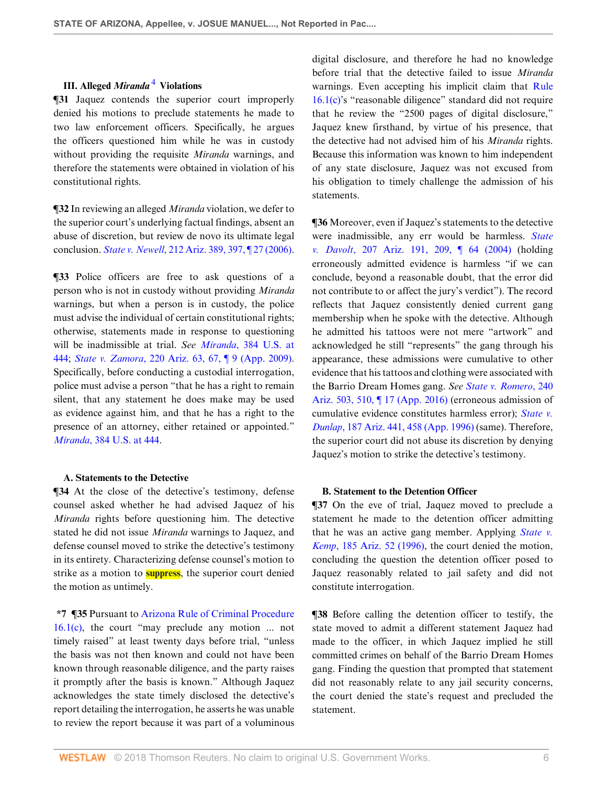# <span id="page-5-0"></span>**III. Alleged** *Miranda* [4](#page-10-3)  **Violations**

**¶31** Jaquez contends the superior court improperly denied his motions to preclude statements he made to two law enforcement officers. Specifically, he argues the officers questioned him while he was in custody without providing the requisite *Miranda* warnings, and therefore the statements were obtained in violation of his constitutional rights.

**¶32** In reviewing an alleged *Miranda* violation, we defer to the superior court's underlying factual findings, absent an abuse of discretion, but review de novo its ultimate legal conclusion. *State v. Newell*[, 212 Ariz. 389, 397, ¶ 27 \(2006\)](http://www.westlaw.com/Link/Document/FullText?findType=Y&serNum=2008988999&pubNum=0000156&originatingDoc=Idde5c08099cc11e888e382e865ea2ff8&refType=RP&fi=co_pp_sp_156_397&originationContext=document&vr=3.0&rs=cblt1.0&transitionType=DocumentItem&contextData=(sc.Search)#co_pp_sp_156_397).

**¶33** Police officers are free to ask questions of a person who is not in custody without providing *Miranda* warnings, but when a person is in custody, the police must advise the individual of certain constitutional rights; otherwise, statements made in response to questioning will be inadmissible at trial. *See Miranda*[, 384 U.S. at](http://www.westlaw.com/Link/Document/FullText?findType=Y&serNum=1966131580&pubNum=0000780&originatingDoc=Idde5c08099cc11e888e382e865ea2ff8&refType=RP&fi=co_pp_sp_780_444&originationContext=document&vr=3.0&rs=cblt1.0&transitionType=DocumentItem&contextData=(sc.Search)#co_pp_sp_780_444) [444](http://www.westlaw.com/Link/Document/FullText?findType=Y&serNum=1966131580&pubNum=0000780&originatingDoc=Idde5c08099cc11e888e382e865ea2ff8&refType=RP&fi=co_pp_sp_780_444&originationContext=document&vr=3.0&rs=cblt1.0&transitionType=DocumentItem&contextData=(sc.Search)#co_pp_sp_780_444); *State v. Zamora*[, 220 Ariz. 63, 67, ¶ 9 \(App. 2009\)](http://www.westlaw.com/Link/Document/FullText?findType=Y&serNum=2017921032&pubNum=0000156&originatingDoc=Idde5c08099cc11e888e382e865ea2ff8&refType=RP&fi=co_pp_sp_156_67&originationContext=document&vr=3.0&rs=cblt1.0&transitionType=DocumentItem&contextData=(sc.Search)#co_pp_sp_156_67). Specifically, before conducting a custodial interrogation, police must advise a person "that he has a right to remain silent, that any statement he does make may be used as evidence against him, and that he has a right to the presence of an attorney, either retained or appointed." *Miranda*[, 384 U.S. at 444.](http://www.westlaw.com/Link/Document/FullText?findType=Y&serNum=1966131580&pubNum=0000780&originatingDoc=Idde5c08099cc11e888e382e865ea2ff8&refType=RP&fi=co_pp_sp_780_444&originationContext=document&vr=3.0&rs=cblt1.0&transitionType=DocumentItem&contextData=(sc.Search)#co_pp_sp_780_444)

#### **A. Statements to the Detective**

**¶34** At the close of the detective's testimony, defense counsel asked whether he had advised Jaquez of his *Miranda* rights before questioning him. The detective stated he did not issue *Miranda* warnings to Jaquez, and defense counsel moved to strike the detective's testimony in its entirety. Characterizing defense counsel's motion to strike as a motion to **suppress**, the superior court denied the motion as untimely.

**\*7 ¶35** Pursuant to [Arizona Rule of Criminal Procedure](http://www.westlaw.com/Link/Document/FullText?findType=L&pubNum=1003573&cite=AZSTRCRPR16.1&originatingDoc=Idde5c08099cc11e888e382e865ea2ff8&refType=LQ&originationContext=document&vr=3.0&rs=cblt1.0&transitionType=DocumentItem&contextData=(sc.Search)) [16.1\(c\),](http://www.westlaw.com/Link/Document/FullText?findType=L&pubNum=1003573&cite=AZSTRCRPR16.1&originatingDoc=Idde5c08099cc11e888e382e865ea2ff8&refType=LQ&originationContext=document&vr=3.0&rs=cblt1.0&transitionType=DocumentItem&contextData=(sc.Search)) the court "may preclude any motion ... not timely raised" at least twenty days before trial, "unless the basis was not then known and could not have been known through reasonable diligence, and the party raises it promptly after the basis is known." Although Jaquez acknowledges the state timely disclosed the detective's report detailing the interrogation, he asserts he was unable to review the report because it was part of a voluminous

digital disclosure, and therefore he had no knowledge before trial that the detective failed to issue *Miranda* warnings. Even accepting his implicit claim that [Rule](http://www.westlaw.com/Link/Document/FullText?findType=L&pubNum=1003573&cite=AZSTRCRPR16.1&originatingDoc=Idde5c08099cc11e888e382e865ea2ff8&refType=LQ&originationContext=document&vr=3.0&rs=cblt1.0&transitionType=DocumentItem&contextData=(sc.Search)) [16.1\(c\)'](http://www.westlaw.com/Link/Document/FullText?findType=L&pubNum=1003573&cite=AZSTRCRPR16.1&originatingDoc=Idde5c08099cc11e888e382e865ea2ff8&refType=LQ&originationContext=document&vr=3.0&rs=cblt1.0&transitionType=DocumentItem&contextData=(sc.Search))s "reasonable diligence" standard did not require that he review the "2500 pages of digital disclosure," Jaquez knew firsthand, by virtue of his presence, that the detective had not advised him of his *Miranda* rights. Because this information was known to him independent of any state disclosure, Jaquez was not excused from his obligation to timely challenge the admission of his statements.

**¶36** Moreover, even if Jaquez's statements to the detective were inadmissible, any err would be harmless. *[State](http://www.westlaw.com/Link/Document/FullText?findType=Y&serNum=2004137503&pubNum=0000156&originatingDoc=Idde5c08099cc11e888e382e865ea2ff8&refType=RP&fi=co_pp_sp_156_209&originationContext=document&vr=3.0&rs=cblt1.0&transitionType=DocumentItem&contextData=(sc.Search)#co_pp_sp_156_209) v. Davolt*[, 207 Ariz. 191, 209, ¶ 64 \(2004\)](http://www.westlaw.com/Link/Document/FullText?findType=Y&serNum=2004137503&pubNum=0000156&originatingDoc=Idde5c08099cc11e888e382e865ea2ff8&refType=RP&fi=co_pp_sp_156_209&originationContext=document&vr=3.0&rs=cblt1.0&transitionType=DocumentItem&contextData=(sc.Search)#co_pp_sp_156_209) (holding erroneously admitted evidence is harmless "if we can conclude, beyond a reasonable doubt, that the error did not contribute to or affect the jury's verdict"). The record reflects that Jaquez consistently denied current gang membership when he spoke with the detective. Although he admitted his tattoos were not mere "artwork" and acknowledged he still "represents" the gang through his appearance, these admissions were cumulative to other evidence that his tattoos and clothing were associated with the Barrio Dream Homes gang. *See [State v. Romero](http://www.westlaw.com/Link/Document/FullText?findType=Y&serNum=2039779882&pubNum=0000156&originatingDoc=Idde5c08099cc11e888e382e865ea2ff8&refType=RP&fi=co_pp_sp_156_510&originationContext=document&vr=3.0&rs=cblt1.0&transitionType=DocumentItem&contextData=(sc.Search)#co_pp_sp_156_510)*, 240 [Ariz. 503, 510, ¶ 17 \(App. 2016\)](http://www.westlaw.com/Link/Document/FullText?findType=Y&serNum=2039779882&pubNum=0000156&originatingDoc=Idde5c08099cc11e888e382e865ea2ff8&refType=RP&fi=co_pp_sp_156_510&originationContext=document&vr=3.0&rs=cblt1.0&transitionType=DocumentItem&contextData=(sc.Search)#co_pp_sp_156_510) (erroneous admission of cumulative evidence constitutes harmless error); *[State v.](http://www.westlaw.com/Link/Document/FullText?findType=Y&serNum=1996203377&pubNum=0000156&originatingDoc=Idde5c08099cc11e888e382e865ea2ff8&refType=RP&fi=co_pp_sp_156_458&originationContext=document&vr=3.0&rs=cblt1.0&transitionType=DocumentItem&contextData=(sc.Search)#co_pp_sp_156_458) Dunlap*[, 187 Ariz. 441, 458 \(App. 1996\)](http://www.westlaw.com/Link/Document/FullText?findType=Y&serNum=1996203377&pubNum=0000156&originatingDoc=Idde5c08099cc11e888e382e865ea2ff8&refType=RP&fi=co_pp_sp_156_458&originationContext=document&vr=3.0&rs=cblt1.0&transitionType=DocumentItem&contextData=(sc.Search)#co_pp_sp_156_458) (same). Therefore, the superior court did not abuse its discretion by denying Jaquez's motion to strike the detective's testimony.

### **B. Statement to the Detention Officer**

**¶37** On the eve of trial, Jaquez moved to preclude a statement he made to the detention officer admitting that he was an active gang member. Applying *[State v.](http://www.westlaw.com/Link/Document/FullText?findType=Y&serNum=1996061157&pubNum=0000156&originatingDoc=Idde5c08099cc11e888e382e865ea2ff8&refType=RP&originationContext=document&vr=3.0&rs=cblt1.0&transitionType=DocumentItem&contextData=(sc.Search)) Kemp*[, 185 Ariz. 52 \(1996\)](http://www.westlaw.com/Link/Document/FullText?findType=Y&serNum=1996061157&pubNum=0000156&originatingDoc=Idde5c08099cc11e888e382e865ea2ff8&refType=RP&originationContext=document&vr=3.0&rs=cblt1.0&transitionType=DocumentItem&contextData=(sc.Search)), the court denied the motion, concluding the question the detention officer posed to Jaquez reasonably related to jail safety and did not constitute interrogation.

**¶38** Before calling the detention officer to testify, the state moved to admit a different statement Jaquez had made to the officer, in which Jaquez implied he still committed crimes on behalf of the Barrio Dream Homes gang. Finding the question that prompted that statement did not reasonably relate to any jail security concerns, the court denied the state's request and precluded the statement.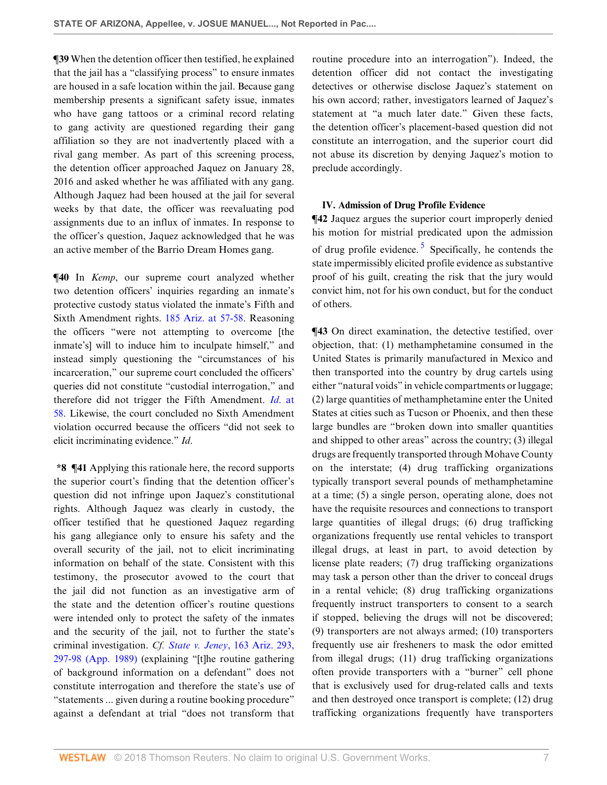**¶39** When the detention officer then testified, he explained that the jail has a "classifying process" to ensure inmates are housed in a safe location within the jail. Because gang membership presents a significant safety issue, inmates who have gang tattoos or a criminal record relating to gang activity are questioned regarding their gang affiliation so they are not inadvertently placed with a rival gang member. As part of this screening process, the detention officer approached Jaquez on January 28, 2016 and asked whether he was affiliated with any gang. Although Jaquez had been housed at the jail for several weeks by that date, the officer was reevaluating pod assignments due to an influx of inmates. In response to the officer's question, Jaquez acknowledged that he was an active member of the Barrio Dream Homes gang.

**¶40** In *Kemp*, our supreme court analyzed whether two detention officers' inquiries regarding an inmate's protective custody status violated the inmate's Fifth and Sixth Amendment rights. [185 Ariz. at 57-58](http://www.westlaw.com/Link/Document/FullText?findType=Y&serNum=1996061157&pubNum=0000156&originatingDoc=Idde5c08099cc11e888e382e865ea2ff8&refType=RP&fi=co_pp_sp_156_57&originationContext=document&vr=3.0&rs=cblt1.0&transitionType=DocumentItem&contextData=(sc.Search)#co_pp_sp_156_57). Reasoning the officers "were not attempting to overcome [the inmate's] will to induce him to inculpate himself," and instead simply questioning the "circumstances of his incarceration," our supreme court concluded the officers' queries did not constitute "custodial interrogation," and therefore did not trigger the Fifth Amendment. *Id*[. at](http://www.westlaw.com/Link/Document/FullText?findType=Y&serNum=1996061157&pubNum=0000156&originatingDoc=Idde5c08099cc11e888e382e865ea2ff8&refType=RP&fi=co_pp_sp_156_58&originationContext=document&vr=3.0&rs=cblt1.0&transitionType=DocumentItem&contextData=(sc.Search)#co_pp_sp_156_58) [58](http://www.westlaw.com/Link/Document/FullText?findType=Y&serNum=1996061157&pubNum=0000156&originatingDoc=Idde5c08099cc11e888e382e865ea2ff8&refType=RP&fi=co_pp_sp_156_58&originationContext=document&vr=3.0&rs=cblt1.0&transitionType=DocumentItem&contextData=(sc.Search)#co_pp_sp_156_58). Likewise, the court concluded no Sixth Amendment violation occurred because the officers "did not seek to elicit incriminating evidence." *Id*.

**\*8 ¶41** Applying this rationale here, the record supports the superior court's finding that the detention officer's question did not infringe upon Jaquez's constitutional rights. Although Jaquez was clearly in custody, the officer testified that he questioned Jaquez regarding his gang allegiance only to ensure his safety and the overall security of the jail, not to elicit incriminating information on behalf of the state. Consistent with this testimony, the prosecutor avowed to the court that the jail did not function as an investigative arm of the state and the detention officer's routine questions were intended only to protect the safety of the inmates and the security of the jail, not to further the state's criminal investigation. *Cf. State v. Jeney*[, 163 Ariz. 293,](http://www.westlaw.com/Link/Document/FullText?findType=Y&serNum=1989154163&pubNum=0000156&originatingDoc=Idde5c08099cc11e888e382e865ea2ff8&refType=RP&fi=co_pp_sp_156_297&originationContext=document&vr=3.0&rs=cblt1.0&transitionType=DocumentItem&contextData=(sc.Search)#co_pp_sp_156_297) [297-98 \(App. 1989\)](http://www.westlaw.com/Link/Document/FullText?findType=Y&serNum=1989154163&pubNum=0000156&originatingDoc=Idde5c08099cc11e888e382e865ea2ff8&refType=RP&fi=co_pp_sp_156_297&originationContext=document&vr=3.0&rs=cblt1.0&transitionType=DocumentItem&contextData=(sc.Search)#co_pp_sp_156_297) (explaining "[t]he routine gathering of background information on a defendant" does not constitute interrogation and therefore the state's use of "statements ... given during a routine booking procedure" against a defendant at trial "does not transform that

routine procedure into an interrogation"). Indeed, the detention officer did not contact the investigating detectives or otherwise disclose Jaquez's statement on his own accord; rather, investigators learned of Jaquez's statement at "a much later date." Given these facts, the detention officer's placement-based question did not constitute an interrogation, and the superior court did not abuse its discretion by denying Jaquez's motion to preclude accordingly.

## <span id="page-6-0"></span>**IV. Admission of Drug Profile Evidence**

**¶42** Jaquez argues the superior court improperly denied his motion for mistrial predicated upon the admission of drug profile evidence.<sup>[5](#page-10-4)</sup> Specifically, he contends the state impermissibly elicited profile evidence as substantive proof of his guilt, creating the risk that the jury would convict him, not for his own conduct, but for the conduct of others.

**¶43** On direct examination, the detective testified, over objection, that: (1) methamphetamine consumed in the United States is primarily manufactured in Mexico and then transported into the country by drug cartels using either "natural voids" in vehicle compartments or luggage; (2) large quantities of methamphetamine enter the United States at cities such as Tucson or Phoenix, and then these large bundles are "broken down into smaller quantities and shipped to other areas" across the country; (3) illegal drugs are frequently transported through Mohave County on the interstate; (4) drug trafficking organizations typically transport several pounds of methamphetamine at a time; (5) a single person, operating alone, does not have the requisite resources and connections to transport large quantities of illegal drugs; (6) drug trafficking organizations frequently use rental vehicles to transport illegal drugs, at least in part, to avoid detection by license plate readers; (7) drug trafficking organizations may task a person other than the driver to conceal drugs in a rental vehicle; (8) drug trafficking organizations frequently instruct transporters to consent to a search if stopped, believing the drugs will not be discovered; (9) transporters are not always armed; (10) transporters frequently use air fresheners to mask the odor emitted from illegal drugs; (11) drug trafficking organizations often provide transporters with a "burner" cell phone that is exclusively used for drug-related calls and texts and then destroyed once transport is complete; (12) drug trafficking organizations frequently have transporters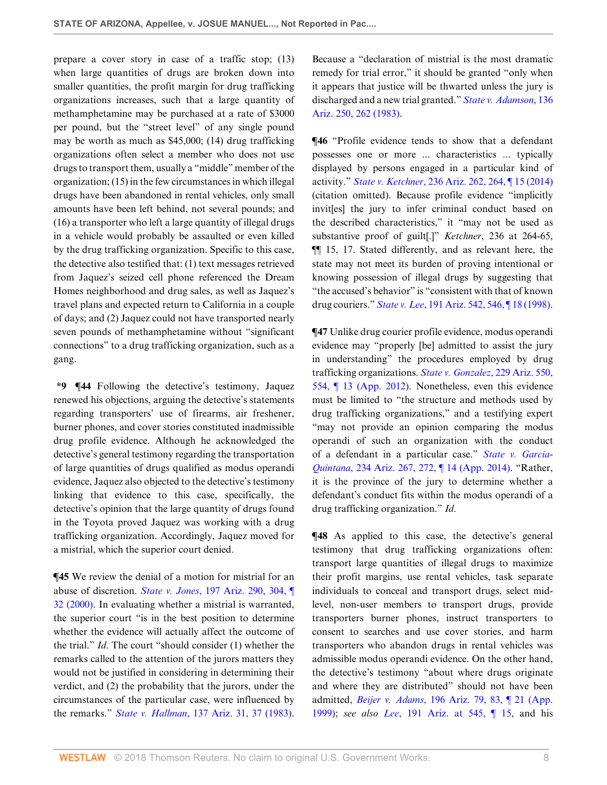prepare a cover story in case of a traffic stop; (13) when large quantities of drugs are broken down into smaller quantities, the profit margin for drug trafficking organizations increases, such that a large quantity of methamphetamine may be purchased at a rate of \$3000 per pound, but the "street level" of any single pound may be worth as much as \$45,000; (14) drug trafficking organizations often select a member who does not use drugs to transport them, usually a "middle" member of the organization; (15) in the few circumstances in which illegal drugs have been abandoned in rental vehicles, only small amounts have been left behind, not several pounds; and (16) a transporter who left a large quantity of illegal drugs in a vehicle would probably be assaulted or even killed by the drug trafficking organization. Specific to this case, the detective also testified that: (1) text messages retrieved from Jaquez's seized cell phone referenced the Dream Homes neighborhood and drug sales, as well as Jaquez's travel plans and expected return to California in a couple of days; and (2) Jaquez could not have transported nearly seven pounds of methamphetamine without "significant connections" to a drug trafficking organization, such as a gang.

**\*9 ¶44** Following the detective's testimony, Jaquez renewed his objections, arguing the detective's statements regarding transporters' use of firearms, air freshener, burner phones, and cover stories constituted inadmissible drug profile evidence. Although he acknowledged the detective's general testimony regarding the transportation of large quantities of drugs qualified as modus operandi evidence, Jaquez also objected to the detective's testimony linking that evidence to this case, specifically, the detective's opinion that the large quantity of drugs found in the Toyota proved Jaquez was working with a drug trafficking organization. Accordingly, Jaquez moved for a mistrial, which the superior court denied.

**¶45** We review the denial of a motion for mistrial for an abuse of discretion. *State v. Jones*[, 197 Ariz. 290, 304, ¶](http://www.westlaw.com/Link/Document/FullText?findType=Y&serNum=2000381072&pubNum=0000156&originatingDoc=Idde5c08099cc11e888e382e865ea2ff8&refType=RP&fi=co_pp_sp_156_304&originationContext=document&vr=3.0&rs=cblt1.0&transitionType=DocumentItem&contextData=(sc.Search)#co_pp_sp_156_304) [32 \(2000\).](http://www.westlaw.com/Link/Document/FullText?findType=Y&serNum=2000381072&pubNum=0000156&originatingDoc=Idde5c08099cc11e888e382e865ea2ff8&refType=RP&fi=co_pp_sp_156_304&originationContext=document&vr=3.0&rs=cblt1.0&transitionType=DocumentItem&contextData=(sc.Search)#co_pp_sp_156_304) In evaluating whether a mistrial is warranted, the superior court "is in the best position to determine whether the evidence will actually affect the outcome of the trial." *Id*. The court "should consider (1) whether the remarks called to the attention of the jurors matters they would not be justified in considering in determining their verdict, and (2) the probability that the jurors, under the circumstances of the particular case, were influenced by the remarks." *State v. Hallman*[, 137 Ariz. 31, 37 \(1983\)](http://www.westlaw.com/Link/Document/FullText?findType=Y&serNum=1983142135&pubNum=0000156&originatingDoc=Idde5c08099cc11e888e382e865ea2ff8&refType=RP&fi=co_pp_sp_156_37&originationContext=document&vr=3.0&rs=cblt1.0&transitionType=DocumentItem&contextData=(sc.Search)#co_pp_sp_156_37).

Because a "declaration of mistrial is the most dramatic remedy for trial error," it should be granted "only when it appears that justice will be thwarted unless the jury is discharged and a new trial granted." *[State v. Adamson](http://www.westlaw.com/Link/Document/FullText?findType=Y&serNum=1983129895&pubNum=0000156&originatingDoc=Idde5c08099cc11e888e382e865ea2ff8&refType=RP&fi=co_pp_sp_156_262&originationContext=document&vr=3.0&rs=cblt1.0&transitionType=DocumentItem&contextData=(sc.Search)#co_pp_sp_156_262)*, 136 [Ariz. 250, 262 \(1983\)](http://www.westlaw.com/Link/Document/FullText?findType=Y&serNum=1983129895&pubNum=0000156&originatingDoc=Idde5c08099cc11e888e382e865ea2ff8&refType=RP&fi=co_pp_sp_156_262&originationContext=document&vr=3.0&rs=cblt1.0&transitionType=DocumentItem&contextData=(sc.Search)#co_pp_sp_156_262).

**¶46** "Profile evidence tends to show that a defendant possesses one or more ... characteristics ... typically displayed by persons engaged in a particular kind of activity." *State v. Ketchner*[, 236 Ariz. 262, 264, ¶ 15 \(2014\)](http://www.westlaw.com/Link/Document/FullText?findType=Y&serNum=2035067683&pubNum=0000156&originatingDoc=Idde5c08099cc11e888e382e865ea2ff8&refType=RP&fi=co_pp_sp_156_264&originationContext=document&vr=3.0&rs=cblt1.0&transitionType=DocumentItem&contextData=(sc.Search)#co_pp_sp_156_264) (citation omitted). Because profile evidence "implicitly invit[es] the jury to infer criminal conduct based on the described characteristics," it "may not be used as substantive proof of guilt[.]" *Ketchner*, 236 at 264-65, ¶¶ 15, 17. Stated differently, and as relevant here, the state may not meet its burden of proving intentional or knowing possession of illegal drugs by suggesting that "the accused's behavior" is "consistent with that of known drug couriers." *State v. Lee*[, 191 Ariz. 542, 546, ¶ 18 \(1998\)](http://www.westlaw.com/Link/Document/FullText?findType=Y&serNum=1998114925&pubNum=0000156&originatingDoc=Idde5c08099cc11e888e382e865ea2ff8&refType=RP&fi=co_pp_sp_156_546&originationContext=document&vr=3.0&rs=cblt1.0&transitionType=DocumentItem&contextData=(sc.Search)#co_pp_sp_156_546).

**¶47** Unlike drug courier profile evidence, modus operandi evidence may "properly [be] admitted to assist the jury in understanding" the procedures employed by drug trafficking organizations. *[State v. Gonzalez](http://www.westlaw.com/Link/Document/FullText?findType=Y&serNum=2027887845&pubNum=0000156&originatingDoc=Idde5c08099cc11e888e382e865ea2ff8&refType=RP&fi=co_pp_sp_156_554&originationContext=document&vr=3.0&rs=cblt1.0&transitionType=DocumentItem&contextData=(sc.Search)#co_pp_sp_156_554)*, 229 Ariz. 550, [554, ¶ 13 \(App. 2012\).](http://www.westlaw.com/Link/Document/FullText?findType=Y&serNum=2027887845&pubNum=0000156&originatingDoc=Idde5c08099cc11e888e382e865ea2ff8&refType=RP&fi=co_pp_sp_156_554&originationContext=document&vr=3.0&rs=cblt1.0&transitionType=DocumentItem&contextData=(sc.Search)#co_pp_sp_156_554) Nonetheless, even this evidence must be limited to "the structure and methods used by drug trafficking organizations," and a testifying expert "may not provide an opinion comparing the modus operandi of such an organization with the conduct of a defendant in a particular case." *[State v. Garcia-](http://www.westlaw.com/Link/Document/FullText?findType=Y&serNum=2032964954&pubNum=0000156&originatingDoc=Idde5c08099cc11e888e382e865ea2ff8&refType=RP&fi=co_pp_sp_156_272&originationContext=document&vr=3.0&rs=cblt1.0&transitionType=DocumentItem&contextData=(sc.Search)#co_pp_sp_156_272)Quintana*[, 234 Ariz. 267, 272, ¶ 14 \(App. 2014\).](http://www.westlaw.com/Link/Document/FullText?findType=Y&serNum=2032964954&pubNum=0000156&originatingDoc=Idde5c08099cc11e888e382e865ea2ff8&refType=RP&fi=co_pp_sp_156_272&originationContext=document&vr=3.0&rs=cblt1.0&transitionType=DocumentItem&contextData=(sc.Search)#co_pp_sp_156_272) "Rather, it is the province of the jury to determine whether a defendant's conduct fits within the modus operandi of a drug trafficking organization." *Id*.

 $\P$ **48** As applied to this case, the detective's general testimony that drug trafficking organizations often: transport large quantities of illegal drugs to maximize their profit margins, use rental vehicles, task separate individuals to conceal and transport drugs, select midlevel, non-user members to transport drugs, provide transporters burner phones, instruct transporters to consent to searches and use cover stories, and harm transporters who abandon drugs in rental vehicles was admissible modus operandi evidence. On the other hand, the detective's testimony "about where drugs originate and where they are distributed" should not have been admitted, *Beijer v. Adams*[, 196 Ariz. 79, 83, ¶ 21 \(App.](http://www.westlaw.com/Link/Document/FullText?findType=Y&serNum=1999049820&pubNum=0000156&originatingDoc=Idde5c08099cc11e888e382e865ea2ff8&refType=RP&fi=co_pp_sp_156_83&originationContext=document&vr=3.0&rs=cblt1.0&transitionType=DocumentItem&contextData=(sc.Search)#co_pp_sp_156_83) [1999\)](http://www.westlaw.com/Link/Document/FullText?findType=Y&serNum=1999049820&pubNum=0000156&originatingDoc=Idde5c08099cc11e888e382e865ea2ff8&refType=RP&fi=co_pp_sp_156_83&originationContext=document&vr=3.0&rs=cblt1.0&transitionType=DocumentItem&contextData=(sc.Search)#co_pp_sp_156_83); *see also Lee*[, 191 Ariz. at 545, ¶ 15,](http://www.westlaw.com/Link/Document/FullText?findType=Y&serNum=1998114925&pubNum=0000156&originatingDoc=Idde5c08099cc11e888e382e865ea2ff8&refType=RP&fi=co_pp_sp_156_545&originationContext=document&vr=3.0&rs=cblt1.0&transitionType=DocumentItem&contextData=(sc.Search)#co_pp_sp_156_545) and his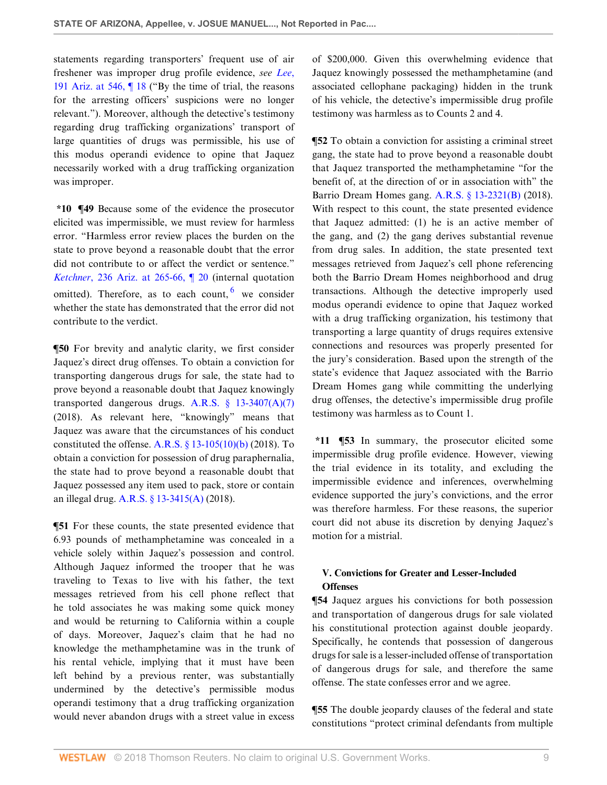statements regarding transporters' frequent use of air freshener was improper drug profile evidence, *see [Lee](http://www.westlaw.com/Link/Document/FullText?findType=Y&serNum=1998114925&pubNum=0000156&originatingDoc=Idde5c08099cc11e888e382e865ea2ff8&refType=RP&fi=co_pp_sp_156_546&originationContext=document&vr=3.0&rs=cblt1.0&transitionType=DocumentItem&contextData=(sc.Search)#co_pp_sp_156_546)*, [191 Ariz. at 546, ¶ 18](http://www.westlaw.com/Link/Document/FullText?findType=Y&serNum=1998114925&pubNum=0000156&originatingDoc=Idde5c08099cc11e888e382e865ea2ff8&refType=RP&fi=co_pp_sp_156_546&originationContext=document&vr=3.0&rs=cblt1.0&transitionType=DocumentItem&contextData=(sc.Search)#co_pp_sp_156_546) ("By the time of trial, the reasons for the arresting officers' suspicions were no longer relevant."). Moreover, although the detective's testimony regarding drug trafficking organizations' transport of large quantities of drugs was permissible, his use of this modus operandi evidence to opine that Jaquez necessarily worked with a drug trafficking organization was improper.

**\*10 ¶49** Because some of the evidence the prosecutor elicited was impermissible, we must review for harmless error. "Harmless error review places the burden on the state to prove beyond a reasonable doubt that the error did not contribute to or affect the verdict or sentence." *Ketchner*[, 236 Ariz. at 265-66, ¶ 20](http://www.westlaw.com/Link/Document/FullText?findType=Y&serNum=2035067683&pubNum=0000156&originatingDoc=Idde5c08099cc11e888e382e865ea2ff8&refType=RP&fi=co_pp_sp_156_265&originationContext=document&vr=3.0&rs=cblt1.0&transitionType=DocumentItem&contextData=(sc.Search)#co_pp_sp_156_265) (internal quotation omitted). Therefore, as to each count, <sup>[6](#page-10-5)</sup> we consider whether the state has demonstrated that the error did not contribute to the verdict.

**¶50** For brevity and analytic clarity, we first consider Jaquez's direct drug offenses. To obtain a conviction for transporting dangerous drugs for sale, the state had to prove beyond a reasonable doubt that Jaquez knowingly transported dangerous drugs. A.R.S.  $\S$  13-3407(A)(7) (2018). As relevant here, "knowingly" means that Jaquez was aware that the circumstances of his conduct constituted the offense. A.R.S.  $\S$  13-105(10)(b) (2018). To obtain a conviction for possession of drug paraphernalia, the state had to prove beyond a reasonable doubt that Jaquez possessed any item used to pack, store or contain an illegal drug. [A.R.S. § 13-3415\(A\)](http://www.westlaw.com/Link/Document/FullText?findType=L&pubNum=1000251&cite=AZSTS13-3415&originatingDoc=Idde5c08099cc11e888e382e865ea2ff8&refType=LQ&originationContext=document&vr=3.0&rs=cblt1.0&transitionType=DocumentItem&contextData=(sc.Search)) (2018).

**¶51** For these counts, the state presented evidence that 6.93 pounds of methamphetamine was concealed in a vehicle solely within Jaquez's possession and control. Although Jaquez informed the trooper that he was traveling to Texas to live with his father, the text messages retrieved from his cell phone reflect that he told associates he was making some quick money and would be returning to California within a couple of days. Moreover, Jaquez's claim that he had no knowledge the methamphetamine was in the trunk of his rental vehicle, implying that it must have been left behind by a previous renter, was substantially undermined by the detective's permissible modus operandi testimony that a drug trafficking organization would never abandon drugs with a street value in excess

of \$200,000. Given this overwhelming evidence that Jaquez knowingly possessed the methamphetamine (and associated cellophane packaging) hidden in the trunk of his vehicle, the detective's impermissible drug profile testimony was harmless as to Counts 2 and 4.

<span id="page-8-0"></span>**¶52** To obtain a conviction for assisting a criminal street gang, the state had to prove beyond a reasonable doubt that Jaquez transported the methamphetamine "for the benefit of, at the direction of or in association with" the Barrio Dream Homes gang. [A.R.S. § 13-2321\(B\)](http://www.westlaw.com/Link/Document/FullText?findType=L&pubNum=1000251&cite=AZSTS13-2321&originatingDoc=Idde5c08099cc11e888e382e865ea2ff8&refType=LQ&originationContext=document&vr=3.0&rs=cblt1.0&transitionType=DocumentItem&contextData=(sc.Search)) (2018). With respect to this count, the state presented evidence that Jaquez admitted: (1) he is an active member of the gang, and (2) the gang derives substantial revenue from drug sales. In addition, the state presented text messages retrieved from Jaquez's cell phone referencing both the Barrio Dream Homes neighborhood and drug transactions. Although the detective improperly used modus operandi evidence to opine that Jaquez worked with a drug trafficking organization, his testimony that transporting a large quantity of drugs requires extensive connections and resources was properly presented for the jury's consideration. Based upon the strength of the state's evidence that Jaquez associated with the Barrio Dream Homes gang while committing the underlying drug offenses, the detective's impermissible drug profile testimony was harmless as to Count 1.

**\*11 ¶53** In summary, the prosecutor elicited some impermissible drug profile evidence. However, viewing the trial evidence in its totality, and excluding the impermissible evidence and inferences, overwhelming evidence supported the jury's convictions, and the error was therefore harmless. For these reasons, the superior court did not abuse its discretion by denying Jaquez's motion for a mistrial.

# **V. Convictions for Greater and Lesser-Included Offenses**

**¶54** Jaquez argues his convictions for both possession and transportation of dangerous drugs for sale violated his constitutional protection against double jeopardy. Specifically, he contends that possession of dangerous drugs for sale is a lesser-included offense of transportation of dangerous drugs for sale, and therefore the same offense. The state confesses error and we agree.

**¶55** The double jeopardy clauses of the federal and state constitutions "protect criminal defendants from multiple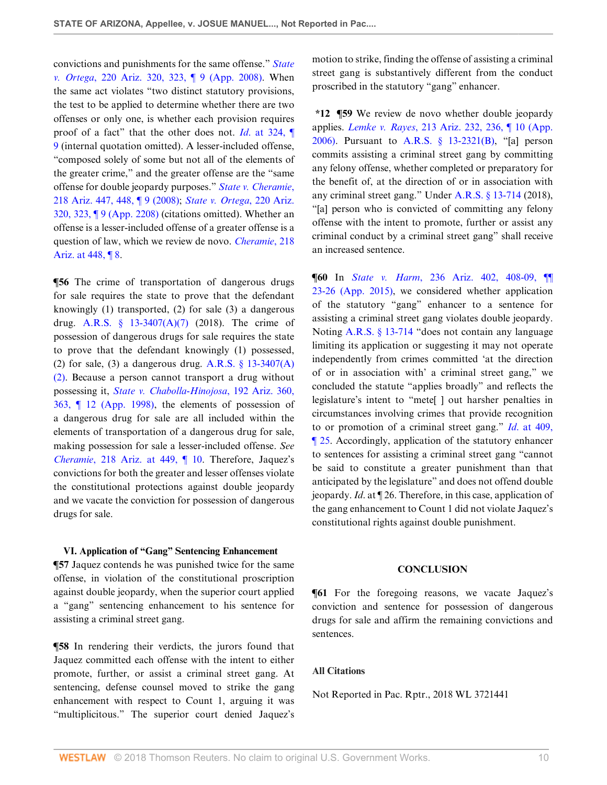convictions and punishments for the same offense." *[State](http://www.westlaw.com/Link/Document/FullText?findType=Y&serNum=2017273164&pubNum=0000156&originatingDoc=Idde5c08099cc11e888e382e865ea2ff8&refType=RP&fi=co_pp_sp_156_323&originationContext=document&vr=3.0&rs=cblt1.0&transitionType=DocumentItem&contextData=(sc.Search)#co_pp_sp_156_323) v. Ortega*[, 220 Ariz. 320, 323, ¶ 9 \(App. 2008\)](http://www.westlaw.com/Link/Document/FullText?findType=Y&serNum=2017273164&pubNum=0000156&originatingDoc=Idde5c08099cc11e888e382e865ea2ff8&refType=RP&fi=co_pp_sp_156_323&originationContext=document&vr=3.0&rs=cblt1.0&transitionType=DocumentItem&contextData=(sc.Search)#co_pp_sp_156_323). When the same act violates "two distinct statutory provisions, the test to be applied to determine whether there are two offenses or only one, is whether each provision requires proof of a fact" that the other does not. *Id*[. at 324, ¶](http://www.westlaw.com/Link/Document/FullText?findType=Y&serNum=2017273164&pubNum=0000156&originatingDoc=Idde5c08099cc11e888e382e865ea2ff8&refType=RP&fi=co_pp_sp_156_324&originationContext=document&vr=3.0&rs=cblt1.0&transitionType=DocumentItem&contextData=(sc.Search)#co_pp_sp_156_324) [9](http://www.westlaw.com/Link/Document/FullText?findType=Y&serNum=2017273164&pubNum=0000156&originatingDoc=Idde5c08099cc11e888e382e865ea2ff8&refType=RP&fi=co_pp_sp_156_324&originationContext=document&vr=3.0&rs=cblt1.0&transitionType=DocumentItem&contextData=(sc.Search)#co_pp_sp_156_324) (internal quotation omitted). A lesser-included offense, "composed solely of some but not all of the elements of the greater crime," and the greater offense are the "same offense for double jeopardy purposes." *[State v. Cheramie](http://www.westlaw.com/Link/Document/FullText?findType=Y&serNum=2016624497&pubNum=0000156&originatingDoc=Idde5c08099cc11e888e382e865ea2ff8&refType=RP&fi=co_pp_sp_156_448&originationContext=document&vr=3.0&rs=cblt1.0&transitionType=DocumentItem&contextData=(sc.Search)#co_pp_sp_156_448)*, [218 Ariz. 447, 448, ¶ 9 \(2008\);](http://www.westlaw.com/Link/Document/FullText?findType=Y&serNum=2016624497&pubNum=0000156&originatingDoc=Idde5c08099cc11e888e382e865ea2ff8&refType=RP&fi=co_pp_sp_156_448&originationContext=document&vr=3.0&rs=cblt1.0&transitionType=DocumentItem&contextData=(sc.Search)#co_pp_sp_156_448) *[State v. Ortega](http://www.westlaw.com/Link/Document/FullText?findType=Y&serNum=2017273164&pubNum=0000156&originatingDoc=Idde5c08099cc11e888e382e865ea2ff8&refType=RP&fi=co_pp_sp_156_323&originationContext=document&vr=3.0&rs=cblt1.0&transitionType=DocumentItem&contextData=(sc.Search)#co_pp_sp_156_323)*, 220 Ariz. [320, 323, ¶ 9 \(App. 2208\)](http://www.westlaw.com/Link/Document/FullText?findType=Y&serNum=2017273164&pubNum=0000156&originatingDoc=Idde5c08099cc11e888e382e865ea2ff8&refType=RP&fi=co_pp_sp_156_323&originationContext=document&vr=3.0&rs=cblt1.0&transitionType=DocumentItem&contextData=(sc.Search)#co_pp_sp_156_323) (citations omitted). Whether an offense is a lesser-included offense of a greater offense is a question of law, which we review de novo. *[Cheramie](http://www.westlaw.com/Link/Document/FullText?findType=Y&serNum=2016624497&pubNum=0000156&originatingDoc=Idde5c08099cc11e888e382e865ea2ff8&refType=RP&fi=co_pp_sp_156_448&originationContext=document&vr=3.0&rs=cblt1.0&transitionType=DocumentItem&contextData=(sc.Search)#co_pp_sp_156_448)*, 218 [Ariz. at 448, ¶ 8.](http://www.westlaw.com/Link/Document/FullText?findType=Y&serNum=2016624497&pubNum=0000156&originatingDoc=Idde5c08099cc11e888e382e865ea2ff8&refType=RP&fi=co_pp_sp_156_448&originationContext=document&vr=3.0&rs=cblt1.0&transitionType=DocumentItem&contextData=(sc.Search)#co_pp_sp_156_448)

**[56** The crime of transportation of dangerous drugs for sale requires the state to prove that the defendant knowingly (1) transported, (2) for sale (3) a dangerous drug. A.R.S.  $\frac{13-3407(A)(7)}{2018}$ . The crime of possession of dangerous drugs for sale requires the state to prove that the defendant knowingly (1) possessed, (2) for sale, (3) a dangerous drug. A.R.S.  $\S$  13-3407(A) [\(2\).](http://www.westlaw.com/Link/Document/FullText?findType=L&pubNum=1000251&cite=AZSTS13-3407&originatingDoc=Idde5c08099cc11e888e382e865ea2ff8&refType=LQ&originationContext=document&vr=3.0&rs=cblt1.0&transitionType=DocumentItem&contextData=(sc.Search)) Because a person cannot transport a drug without possessing it, *[State v. Chabolla-Hinojosa](http://www.westlaw.com/Link/Document/FullText?findType=Y&serNum=1998184236&pubNum=0000156&originatingDoc=Idde5c08099cc11e888e382e865ea2ff8&refType=RP&fi=co_pp_sp_156_363&originationContext=document&vr=3.0&rs=cblt1.0&transitionType=DocumentItem&contextData=(sc.Search)#co_pp_sp_156_363)*, 192 Ariz. 360, [363, ¶ 12 \(App. 1998\),](http://www.westlaw.com/Link/Document/FullText?findType=Y&serNum=1998184236&pubNum=0000156&originatingDoc=Idde5c08099cc11e888e382e865ea2ff8&refType=RP&fi=co_pp_sp_156_363&originationContext=document&vr=3.0&rs=cblt1.0&transitionType=DocumentItem&contextData=(sc.Search)#co_pp_sp_156_363) the elements of possession of a dangerous drug for sale are all included within the elements of transportation of a dangerous drug for sale, making possession for sale a lesser-included offense. *See Cheramie*[, 218 Ariz. at 449, ¶ 10.](http://www.westlaw.com/Link/Document/FullText?findType=Y&serNum=2016624497&pubNum=0000156&originatingDoc=Idde5c08099cc11e888e382e865ea2ff8&refType=RP&fi=co_pp_sp_156_449&originationContext=document&vr=3.0&rs=cblt1.0&transitionType=DocumentItem&contextData=(sc.Search)#co_pp_sp_156_449) Therefore, Jaquez's convictions for both the greater and lesser offenses violate the constitutional protections against double jeopardy and we vacate the conviction for possession of dangerous drugs for sale.

#### **VI. Application of "Gang" Sentencing Enhancement**

**¶57** Jaquez contends he was punished twice for the same offense, in violation of the constitutional proscription against double jeopardy, when the superior court applied a "gang" sentencing enhancement to his sentence for assisting a criminal street gang.

**¶58** In rendering their verdicts, the jurors found that Jaquez committed each offense with the intent to either promote, further, or assist a criminal street gang. At sentencing, defense counsel moved to strike the gang enhancement with respect to Count 1, arguing it was "multiplicitous." The superior court denied Jaquez's

motion to strike, finding the offense of assisting a criminal street gang is substantively different from the conduct proscribed in the statutory "gang" enhancer.

**\*12 ¶59** We review de novo whether double jeopardy applies. *Lemke v. Rayes*[, 213 Ariz. 232, 236, ¶ 10 \(App.](http://www.westlaw.com/Link/Document/FullText?findType=Y&serNum=2009728546&pubNum=0000156&originatingDoc=Idde5c08099cc11e888e382e865ea2ff8&refType=RP&fi=co_pp_sp_156_236&originationContext=document&vr=3.0&rs=cblt1.0&transitionType=DocumentItem&contextData=(sc.Search)#co_pp_sp_156_236) [2006\)](http://www.westlaw.com/Link/Document/FullText?findType=Y&serNum=2009728546&pubNum=0000156&originatingDoc=Idde5c08099cc11e888e382e865ea2ff8&refType=RP&fi=co_pp_sp_156_236&originationContext=document&vr=3.0&rs=cblt1.0&transitionType=DocumentItem&contextData=(sc.Search)#co_pp_sp_156_236). Pursuant to [A.R.S. § 13-2321\(B\),](http://www.westlaw.com/Link/Document/FullText?findType=L&pubNum=1000251&cite=AZSTS13-2321&originatingDoc=Idde5c08099cc11e888e382e865ea2ff8&refType=LQ&originationContext=document&vr=3.0&rs=cblt1.0&transitionType=DocumentItem&contextData=(sc.Search)) "[a] person commits assisting a criminal street gang by committing any felony offense, whether completed or preparatory for the benefit of, at the direction of or in association with any criminal street gang." Under [A.R.S. § 13-714](http://www.westlaw.com/Link/Document/FullText?findType=L&pubNum=1000251&cite=AZSTS13-714&originatingDoc=Idde5c08099cc11e888e382e865ea2ff8&refType=LQ&originationContext=document&vr=3.0&rs=cblt1.0&transitionType=DocumentItem&contextData=(sc.Search)) (2018), "[a] person who is convicted of committing any felony offense with the intent to promote, further or assist any criminal conduct by a criminal street gang" shall receive an increased sentence.

**¶60** In *State v. Harm*[, 236 Ariz. 402, 408-09, ¶¶](http://www.westlaw.com/Link/Document/FullText?findType=Y&serNum=2035259663&pubNum=0000156&originatingDoc=Idde5c08099cc11e888e382e865ea2ff8&refType=RP&fi=co_pp_sp_156_408&originationContext=document&vr=3.0&rs=cblt1.0&transitionType=DocumentItem&contextData=(sc.Search)#co_pp_sp_156_408) [23-26 \(App. 2015\)](http://www.westlaw.com/Link/Document/FullText?findType=Y&serNum=2035259663&pubNum=0000156&originatingDoc=Idde5c08099cc11e888e382e865ea2ff8&refType=RP&fi=co_pp_sp_156_408&originationContext=document&vr=3.0&rs=cblt1.0&transitionType=DocumentItem&contextData=(sc.Search)#co_pp_sp_156_408), we considered whether application of the statutory "gang" enhancer to a sentence for assisting a criminal street gang violates double jeopardy. Noting [A.R.S. § 13-714](http://www.westlaw.com/Link/Document/FullText?findType=L&pubNum=1000251&cite=AZSTS13-714&originatingDoc=Idde5c08099cc11e888e382e865ea2ff8&refType=LQ&originationContext=document&vr=3.0&rs=cblt1.0&transitionType=DocumentItem&contextData=(sc.Search)) "does not contain any language limiting its application or suggesting it may not operate independently from crimes committed 'at the direction of or in association with' a criminal street gang," we concluded the statute "applies broadly" and reflects the legislature's intent to "mete[ ] out harsher penalties in circumstances involving crimes that provide recognition to or promotion of a criminal street gang." *Id*[. at 409,](http://www.westlaw.com/Link/Document/FullText?findType=Y&serNum=2035259663&pubNum=0000156&originatingDoc=Idde5c08099cc11e888e382e865ea2ff8&refType=RP&fi=co_pp_sp_156_409&originationContext=document&vr=3.0&rs=cblt1.0&transitionType=DocumentItem&contextData=(sc.Search)#co_pp_sp_156_409) [¶ 25.](http://www.westlaw.com/Link/Document/FullText?findType=Y&serNum=2035259663&pubNum=0000156&originatingDoc=Idde5c08099cc11e888e382e865ea2ff8&refType=RP&fi=co_pp_sp_156_409&originationContext=document&vr=3.0&rs=cblt1.0&transitionType=DocumentItem&contextData=(sc.Search)#co_pp_sp_156_409) Accordingly, application of the statutory enhancer to sentences for assisting a criminal street gang "cannot be said to constitute a greater punishment than that anticipated by the legislature" and does not offend double jeopardy. *Id*. at ¶ 26. Therefore, in this case, application of the gang enhancement to Count 1 did not violate Jaquez's constitutional rights against double punishment.

#### **CONCLUSION**

**¶61** For the foregoing reasons, we vacate Jaquez's conviction and sentence for possession of dangerous drugs for sale and affirm the remaining convictions and sentences.

## **All Citations**

Not Reported in Pac. Rptr., 2018 WL 3721441